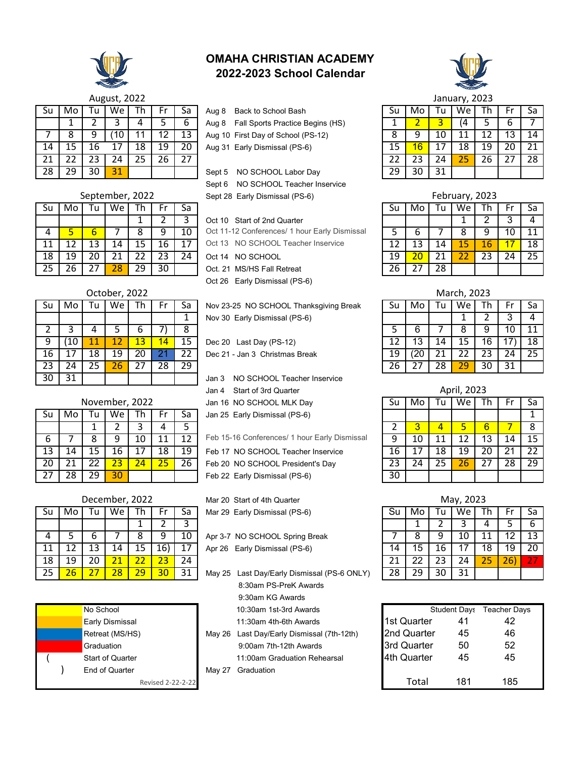

| OMAHA CHRISTIAN ACADEMY   |  |
|---------------------------|--|
| 2022-2023 School Calendar |  |



|                 |    |    | <b>August, 2022</b> |    |    |    |                                           |    |    |    | January, 2023 |    |    |    |
|-----------------|----|----|---------------------|----|----|----|-------------------------------------------|----|----|----|---------------|----|----|----|
| Su              | Mo |    | We                  | Th |    | Sa | Back to School Bash<br>Aug 8              | Su | Mo | u  | We l          |    |    | Sa |
|                 |    |    |                     |    |    |    | Fall Sports Practice Begins (HS)<br>Aug 8 |    |    |    |               |    | ь  |    |
|                 | 8  |    |                     |    | 2  | 13 | Aug 10 First Day of School (PS-12)        |    |    | 10 |               |    | 13 | 14 |
| 14              | 15 | 16 |                     | 18 | 19 | 20 | Aug 31 Early Dismissal (PS-6)             | 15 | 16 |    | 18            | 19 | 20 | 21 |
| 21              |    |    |                     | 25 | 26 |    |                                           |    | 23 | 24 |               | 26 | つフ | 28 |
| $\overline{28}$ | 29 | 30 | 31                  |    |    |    | NO SCHOOL Labor Day<br>Sept 5             | 29 | 30 | 31 |               |    |    |    |

|      |    |    | February, 2023 |    |    |    |
|------|----|----|----------------|----|----|----|
| l Su | Mo | Tu | We             | Th | Fr | Sa |
|      |    |    |                | 2  | 3  |    |
| 5    | 6  |    | 8              | 9  | 10 | 11 |
| 12   | 13 | 14 | 15             | 16 | 17 | 18 |
| 19   | 20 | 21 | 22             | 23 | 24 | 25 |
| 26   | 27 | 28 |                |    |    |    |

|    |      |    | October, 2022 |    |    |    |                                        |    |     |    | March, 2023 |    |    |    |
|----|------|----|---------------|----|----|----|----------------------------------------|----|-----|----|-------------|----|----|----|
| śЦ | Mo l |    | We            | Тh |    | Sa | Nov 23-25 NO SCHOOL Thanksgiving Break | Su | Mo  | Tu | We          | Th |    |    |
|    |      |    |               |    |    |    | Nov 30 Early Dismissal (PS-6)          |    |     |    |             |    |    |    |
|    |      |    |               | o  |    |    |                                        |    | 6   |    |             | У  | 10 |    |
| 9. | 10   |    |               | 13 | 14 | 15 | Dec 20 Last Day (PS-12)                | 12 | 13  | 14 |             | 16 |    | 18 |
| 6  |      | 18 | 19            | 20 |    |    | Dec 21 - Jan 3 Christmas Break         | 19 | (20 |    |             | 23 | 24 | 25 |
| 23 | 24   |    | 26            |    | 28 | 29 |                                        | 26 |     | 28 | 29          | 30 | 31 |    |

April, 2023

|    |    | vember, 2022 |    |    | Jan 16 NO SCHOOL MLK Day                      | Su | Mo |    | We |  | Sa |
|----|----|--------------|----|----|-----------------------------------------------|----|----|----|----|--|----|
| ัน | We | ſh.          |    | Sa | Jan 25 Early Dismissal (PS-6)                 |    |    |    |    |  |    |
|    |    |              |    |    |                                               |    |    |    |    |  |    |
| 8  | q  | 10           |    |    | Feb 15-16 Conferences/ 1 hour Early Dismissal | q  |    |    |    |  |    |
| ۱5 | 16 | 17           | 18 | 19 | Feb 17 NO SCHOOL Teacher Inservice            | 16 |    | 18 | 19 |  |    |
| 22 |    | 24           |    | 26 | Feb 20 NO SCHOOL President's Day              | 23 |    | 25 |    |  | 29 |
| 29 | 30 |              |    |    | Feb 22 Early Dismissal (PS-6)                 | 30 |    |    |    |  |    |

| ງ22                      |     |    | Mar 20 Start of 4th Quarter                 |    |     |     | May, 2023 |    |     |    |
|--------------------------|-----|----|---------------------------------------------|----|-----|-----|-----------|----|-----|----|
| h.                       | Fr  | Sa | Mar 29 Early Dismissal (PS-6)               | Sυ | Mo  | l u | We        |    |     | Sa |
|                          |     |    |                                             |    |     |     |           | 4  |     |    |
| 8                        | 9   | 10 | Apr 3-7 NO SCHOOL Spring Break              |    |     | q   | 10        |    |     | 13 |
|                          | 16) |    | Apr 26 Early Dismissal (PS-6)               | 14 | 15  | 16  |           | 18 | 19  | 20 |
| $\overline{\phantom{0}}$ |     | 24 |                                             |    |     |     | 24        | 25 | 26' | 27 |
| 9                        | 30  | 31 | May 25 Last Day/Early Dismissal (PS-6 ONLY) |    | 7 Q | 30  | 31        |    |     |    |

|             | <b>Student Days</b> | <b>Teacher Days</b> |
|-------------|---------------------|---------------------|
| 1st Quarter | 41                  | 42                  |
| 2nd Quarter | 45                  | 46                  |
| 3rd Quarter | 50                  | 52                  |
| 4th Quarter | 45                  | 45                  |
| Total       | 181                 | 185                 |

| <b>August, 2022</b> |  |
|---------------------|--|
|                     |  |

| Su | Mo | Tu | We   | Th | Fr | Sa |
|----|----|----|------|----|----|----|
|    |    | 2  | 3    | 4  | 5  | 6  |
|    | 8  | 9  | (10) | 11 | 12 | 13 |
| 14 | 15 | 16 | 17   | 18 | 19 | 20 |
| 21 | 22 | 23 | 24   | 25 | 26 | 27 |
| 28 | 29 | 30 | 31   |    |    |    |

|    |    |    | September, 2022 |    |    |    | Sept 28 Early Dismissal (PS-6)                |    |     |     | February, 2023 |    |    |    |
|----|----|----|-----------------|----|----|----|-----------------------------------------------|----|-----|-----|----------------|----|----|----|
| Su | Mo |    | We              | 1h |    | Sa |                                               | Su | Mo  | l u | We .           | Th | ٣  | Sa |
|    |    |    |                 |    |    |    | Oct 10 Start of 2nd Quarter                   |    |     |     |                |    |    | 4  |
|    |    | b  |                 |    |    | 10 | Oct 11-12 Conferences/ 1 hour Early Dismissal |    |     |     |                |    |    | 11 |
| 11 |    | 13 | 14              |    | 16 | 17 | Oct 13 NO SCHOOL Teacher Inservice            |    | 13. | 14  | 15             | 16 |    | 18 |
| 18 | 19 | 20 | 21              |    |    | 24 | Oct 14 NO SCHOOL                              | 19 | 20  | 21  |                |    | 24 | 25 |
| 25 |    |    | $28^{\circ}$    | 29 | 30 |    | Oct. 21 MS/HS Fall Retreat                    | 26 |     | 28  |                |    |    |    |

|    |     |     | October, 2022 |    |    |     |                                        |    |     |    | March, 2023 |    |    |
|----|-----|-----|---------------|----|----|-----|----------------------------------------|----|-----|----|-------------|----|----|
| Su | Mo. | l u | We            | Th |    | Sa  | Nov 23-25 NO SCHOOL Thanksgiving Break | Su | Mo  |    | We          | Th | Fr |
|    |     |     |               |    |    |     | Nov 30 Early Dismissal (PS-6)          |    |     |    |             |    | 3  |
|    |     |     |               | b  |    | 8   |                                        |    | 6   |    |             | У  | 10 |
| 9  | 10  |     |               | 13 | 14 | 15  | Dec 20 Last Day (PS-12)                | 12 | 13  |    |             | 16 | 17 |
| 16 |     | 18  | 19            | 20 |    | 22  | Dec 21 - Jan 3 Christmas Break         | 19 | '20 |    |             | 23 | 24 |
| 23 | 24  | 25  | 26            | 27 | 28 | 29. |                                        | 26 |     | 28 | 29          | 30 | 31 |
| 30 |     |     |               |    |    |     | NO SCHOOL Teacher Inservice<br>Jan 3   |    |     |    |             |    |    |

| November, 2022 |
|----------------|
|----------------|

| Su | Mo | Tu              | We | Th | Fr | Sa |  |
|----|----|-----------------|----|----|----|----|--|
|    |    |                 | 2  | 3  | 4  | 5  |  |
| 6  |    | 8               | 9  | 10 | 11 | 12 |  |
| 13 | 14 | 15              | 16 | 17 | 18 | 19 |  |
| 20 | 21 | 22              | 23 | 24 | 25 | 26 |  |
| 27 | 28 | $\overline{2}9$ | 30 |    |    |    |  |

| December, 2022 |    |    |    |    | May, 2023<br>Mar 20 Start of 4th Quarter |    |                                             |    |    |    |    |    |     |     |
|----------------|----|----|----|----|------------------------------------------|----|---------------------------------------------|----|----|----|----|----|-----|-----|
| Su             | Mo |    | We | Th |                                          | Sa | Mar 29 Early Dismissal (PS-6)               | Su | Mo | Tu | We |    |     | -Sa |
|                |    |    |    |    |                                          |    |                                             |    |    |    |    |    |     | -6  |
|                |    | ь  |    |    |                                          | 10 | Apr 3-7 NO SCHOOL Spring Break              |    |    |    | 10 |    |     | 13  |
| 11             |    |    | 14 | 15 | 16)                                      | 17 | Apr 26 Early Dismissal (PS-6)               | 14 | 15 | 16 |    | 18 | 19  | 20  |
| 18             | 19 | 20 |    |    |                                          | 24 |                                             |    | 22 | 23 | 24 |    | 26) | 27  |
| 25             |    |    | 28 | 29 | 30                                       | 31 | May 25 Last Day/Early Dismissal (PS-6 ONLY) | 28 | 29 | 30 | 31 |    |     |     |



Sept 5 NO SCHOOL Labor Day Sept 6 NO SCHOOL Teacher Inservice Sept 28 Early Dismissal (PS-6) September, 2022 February, 2023

## Oct 10 Start of 2nd Quarter

Oct 26 Early Dismissal (PS-6)

Jan 3 NO SCHOOL Teacher Inservice Jan 4 Start of 3rd Quarter

Jan 16 NO SCHOOL MLK Day

- May 25 Last Day/Early Dismissal (PS-6 ONLY) 8:30am PS-PreK Awards 9:30am KG Awards
	-
	-